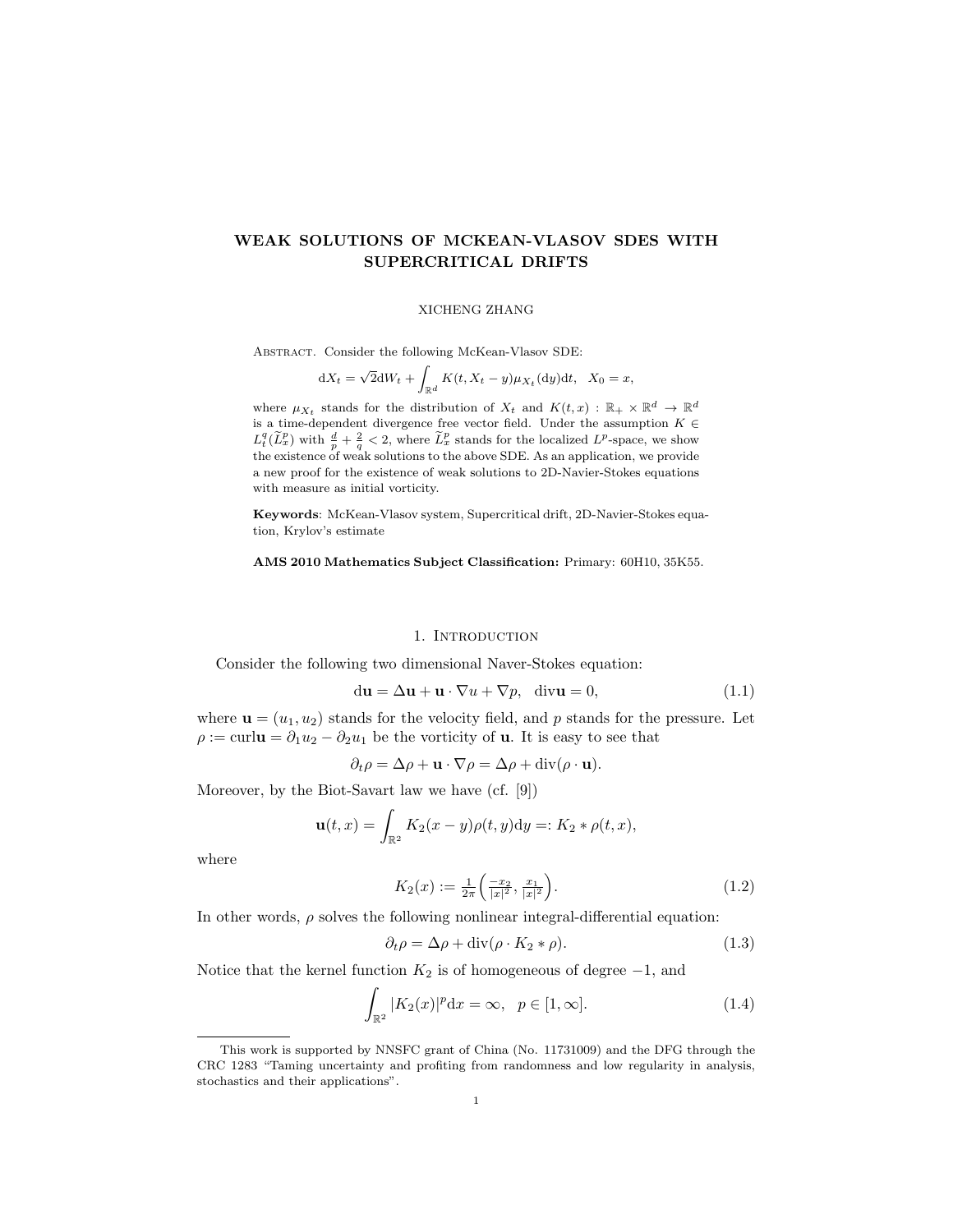# WEAK SOLUTIONS OF MCKEAN-VLASOV SDES WITH SUPERCRITICAL DRIFTS

#### XICHENG ZHANG

Abstract. Consider the following McKean-Vlasov SDE:

$$
dX_t = \sqrt{2}dW_t + \int_{\mathbb{R}^d} K(t, X_t - y)\mu_{X_t}(dy)dt, \quad X_0 = x,
$$

where  $\mu_{X_t}$  stands for the distribution of  $X_t$  and  $K(t,x) : \mathbb{R}_+ \times \mathbb{R}^d \to \mathbb{R}^d$ is a time-dependent divergence free vector field. Under the assumption  $K \in$  $L_t^q(\widetilde{L}_x^p)$  with  $\frac{d}{p} + \frac{2}{q} < 2$ , where  $\widetilde{L}_x^p$  stands for the localized  $L^p$ -space, we show the existence of weak solutions to the above SDE. As an application, we provide a new proof for the existence of weak solutions to 2D-Navier-Stokes equations with measure as initial vorticity.

Keywords: McKean-Vlasov system, Supercritical drift, 2D-Navier-Stokes equation, Krylov's estimate

AMS 2010 Mathematics Subject Classification: Primary: 60H10, 35K55.

#### 1. INTRODUCTION

Consider the following two dimensional Naver-Stokes equation:

$$
du = \Delta u + u \cdot \nabla u + \nabla p, \quad divu = 0,
$$
\n(1.1)

where  $\mathbf{u} = (u_1, u_2)$  stands for the velocity field, and p stands for the pressure. Let  $\rho := \text{curl} \mathbf{u} = \partial_1 u_2 - \partial_2 u_1$  be the vorticity of **u**. It is easy to see that

$$
\partial_t \rho = \Delta \rho + \mathbf{u} \cdot \nabla \rho = \Delta \rho + \text{div}(\rho \cdot \mathbf{u}).
$$

Moreover, by the Biot-Savart law we have (cf. [9])

$$
\mathbf{u}(t,x) = \int_{\mathbb{R}^2} K_2(x-y)\rho(t,y) \mathrm{d}y =: K_2 * \rho(t,x),
$$

where

$$
K_2(x) := \frac{1}{2\pi} \left( \frac{-x_2}{|x|^2}, \frac{x_1}{|x|^2} \right). \tag{1.2}
$$

In other words,  $\rho$  solves the following nonlinear integral-differential equation:

$$
\partial_t \rho = \Delta \rho + \text{div}(\rho \cdot K_2 * \rho). \tag{1.3}
$$

Notice that the kernel function  $K_2$  is of homogeneous of degree  $-1$ , and

$$
\int_{\mathbb{R}^2} |K_2(x)|^p dx = \infty, \quad p \in [1, \infty].
$$
\n(1.4)

This work is supported by NNSFC grant of China (No. 11731009) and the DFG through the CRC 1283 "Taming uncertainty and profiting from randomness and low regularity in analysis, stochastics and their applications".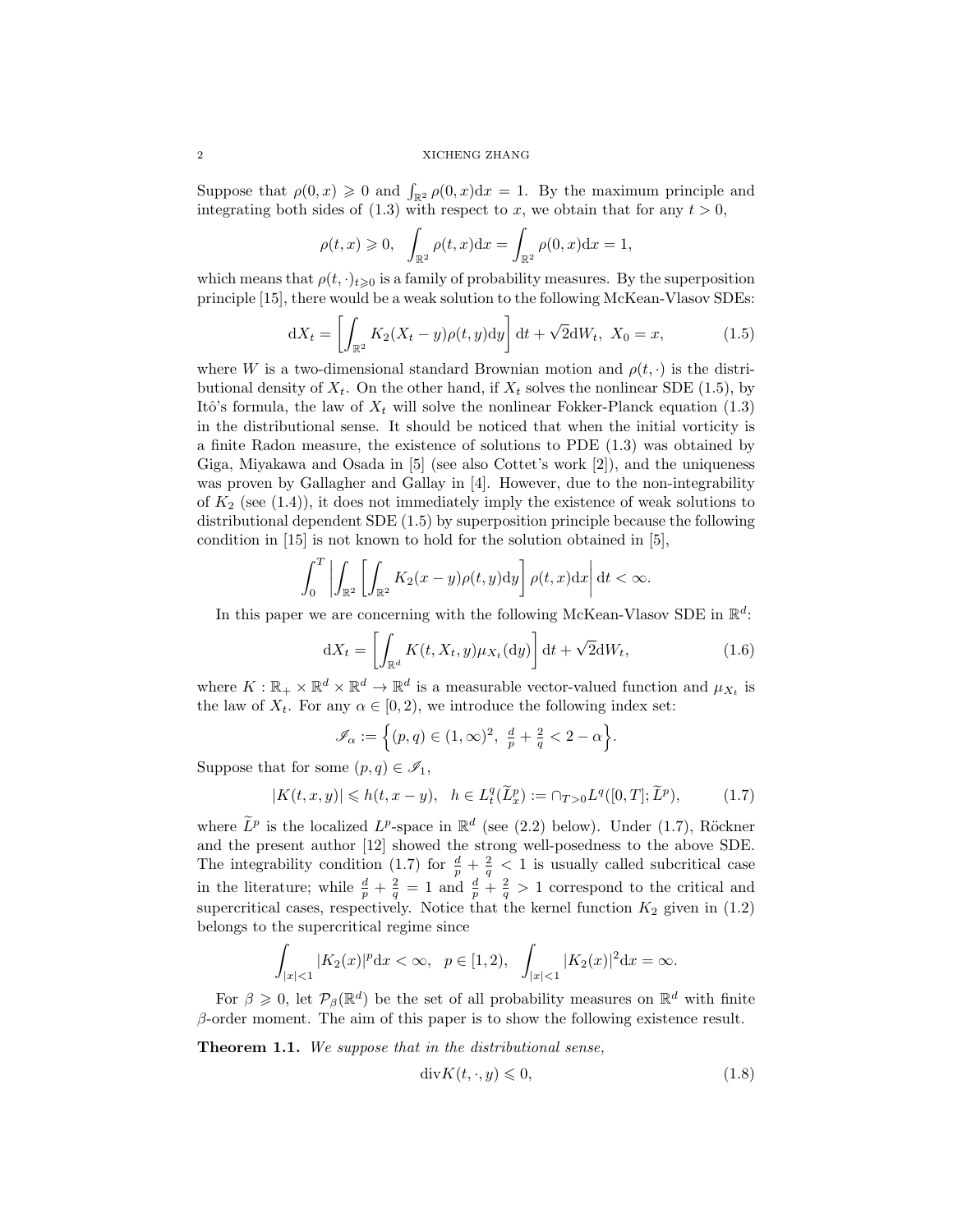2 XICHENG ZHANG

Suppose that  $\rho(0, x) \geq 0$  and  $\int_{\mathbb{R}^2} \rho(0, x) dx = 1$ . By the maximum principle and integrating both sides of (1.3) with respect to x, we obtain that for any  $t > 0$ ,

$$
\rho(t,x) \geqslant 0, \quad \int_{\mathbb{R}^2} \rho(t,x) dx = \int_{\mathbb{R}^2} \rho(0,x) dx = 1,
$$

which means that  $\rho(t, \cdot)_{t\geq 0}$  is a family of probability measures. By the superposition principle [15], there would be a weak solution to the following McKean-Vlasov SDEs:

$$
dX_t = \left[ \int_{\mathbb{R}^2} K_2(X_t - y) \rho(t, y) dy \right] dt + \sqrt{2} dW_t, \ X_0 = x,
$$
\n(1.5)

where W is a two-dimensional standard Brownian motion and  $\rho(t, \cdot)$  is the distributional density of  $X_t$ . On the other hand, if  $X_t$  solves the nonlinear SDE (1.5), by Itô's formula, the law of  $X_t$  will solve the nonlinear Fokker-Planck equation (1.3) in the distributional sense. It should be noticed that when the initial vorticity is a finite Radon measure, the existence of solutions to PDE (1.3) was obtained by Giga, Miyakawa and Osada in [5] (see also Cottet's work [2]), and the uniqueness was proven by Gallagher and Gallay in [4]. However, due to the non-integrability of  $K_2$  (see  $(1.4)$ ), it does not immediately imply the existence of weak solutions to distributional dependent SDE (1.5) by superposition principle because the following condition in [15] is not known to hold for the solution obtained in [5],

$$
\int_0^T \left| \int_{\mathbb{R}^2} \left[ \int_{\mathbb{R}^2} K_2(x-y) \rho(t,y) dy \right] \rho(t,x) dx \right| dt < \infty.
$$

In this paper we are concerning with the following McKean-Vlasov SDE in  $\mathbb{R}^d$ :

$$
dX_t = \left[ \int_{\mathbb{R}^d} K(t, X_t, y) \mu_{X_t}(dy) \right] dt + \sqrt{2} dW_t,
$$
\n(1.6)

where  $K: \mathbb{R}_+ \times \mathbb{R}^d \times \mathbb{R}^d \to \mathbb{R}^d$  is a measurable vector-valued function and  $\mu_{X_t}$  is the law of  $X_t$ . For any  $\alpha \in [0, 2)$ , we introduce the following index set:

$$
\mathscr{I}_{\alpha} := \Big\{ (p,q) \in (1,\infty)^2, \ \frac{d}{p} + \frac{2}{q} < 2 - \alpha \Big\}.
$$

Suppose that for some  $(p, q) \in \mathscr{I}_1$ ,

$$
|K(t, x, y)| \leq h(t, x - y), \quad h \in L_t^q(\tilde{L}_x^p) := \cap_{T > 0} L^q([0, T]; \tilde{L}^p),\tag{1.7}
$$

where  $\tilde{L}^p$  is the localized  $L^p$ -space in  $\mathbb{R}^d$  (see (2.2) below). Under (1.7), Röckner and the present author [12] showed the strong well-posedness to the above SDE. The integrability condition (1.7) for  $\frac{d}{p} + \frac{2}{q} < 1$  is usually called subcritical case in the literature; while  $\frac{d}{p} + \frac{2}{q} = 1$  and  $\frac{d}{p} + \frac{2}{q} > 1$  correspond to the critical and supercritical cases, respectively. Notice that the kernel function  $K_2$  given in  $(1.2)$ belongs to the supercritical regime since

$$
\int_{|x|<1} |K_2(x)|^p \, \mathrm{d}x < \infty, \quad p \in [1,2), \quad \int_{|x|<1} |K_2(x)|^2 \, \mathrm{d}x = \infty.
$$

For  $\beta \geq 0$ , let  $\mathcal{P}_{\beta}(\mathbb{R}^d)$  be the set of all probability measures on  $\mathbb{R}^d$  with finite  $\beta$ -order moment. The aim of this paper is to show the following existence result.

Theorem 1.1. We suppose that in the distributional sense,

$$
\operatorname{div} K(t,\cdot,y) \leq 0,\tag{1.8}
$$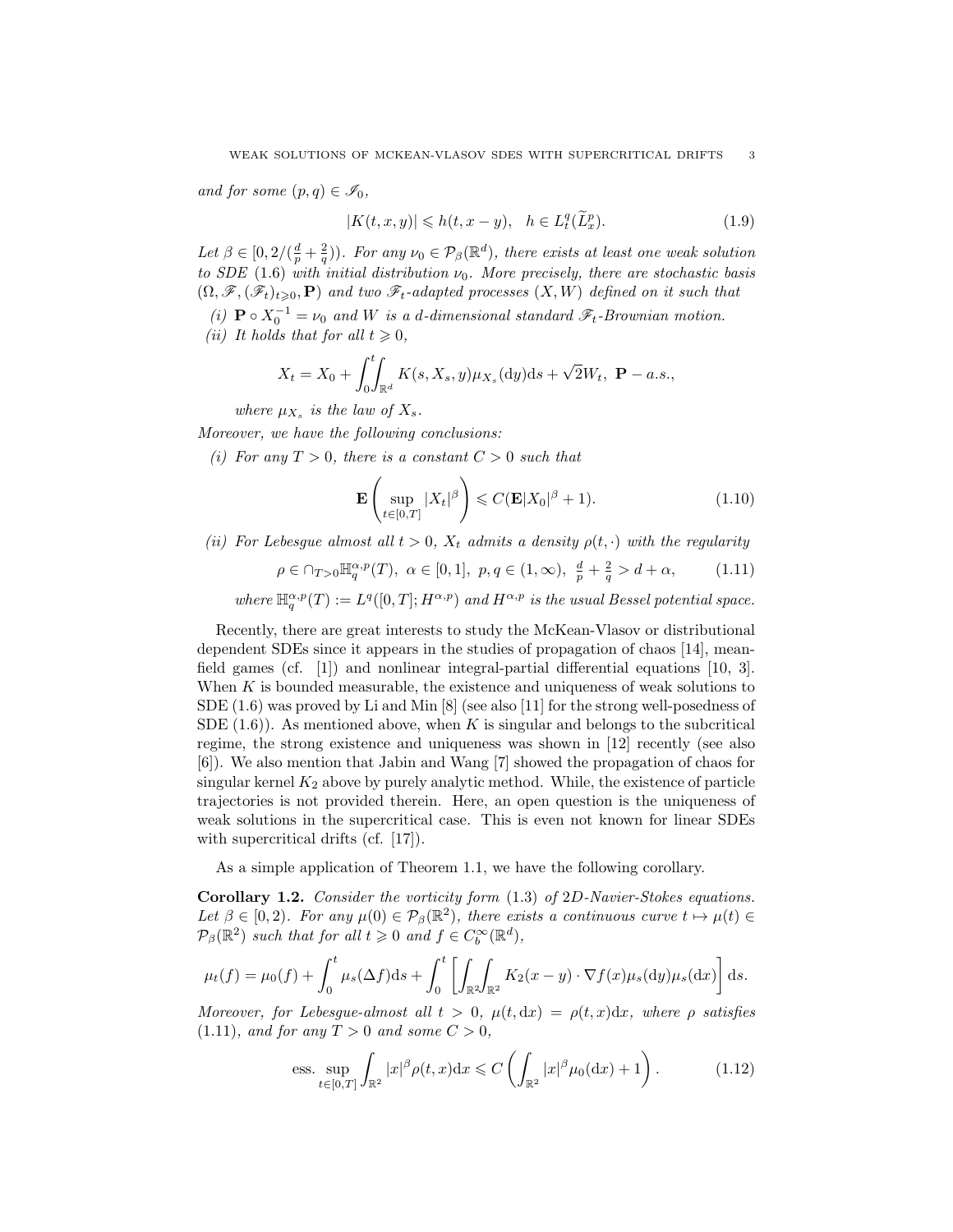and for some  $(p, q) \in \mathscr{I}_0$ ,

$$
|K(t, x, y)| \leq h(t, x - y), \quad h \in L_t^q(\widetilde{L}_x^p). \tag{1.9}
$$

Let  $\beta \in [0, 2/(\frac{d}{p} + \frac{2}{q}))$ . For any  $\nu_0 \in \mathcal{P}_{\beta}(\mathbb{R}^d)$ , there exists at least one weak solution to SDE (1.6) with initial distribution  $\nu_0$ . More precisely, there are stochastic basis  $(\Omega, \mathscr{F}, (\mathscr{F}_t)_{t\geqslant0}, \mathbf{P})$  and two  $\mathscr{F}_t$ -adapted processes  $(X, W)$  defined on it such that

(i)  $\mathbf{P} \circ X_0^{-1} = \nu_0$  and W is a d-dimensional standard  $\mathscr{F}_t$ -Brownian motion. (ii) It holds that for all  $t \geqslant 0$ ,

$$
X_t = X_0 + \int_0^t \int_{\mathbb{R}^d} K(s, X_s, y) \mu_{X_s}(\mathrm{d}y) \mathrm{d}s + \sqrt{2} W_t, \ \mathbf{P} - a.s.,
$$

where  $\mu_{X_s}$  is the law of  $X_s$ .

Moreover, we have the following conclusions:

(i) For any  $T > 0$ , there is a constant  $C > 0$  such that

$$
\mathbf{E}\left(\sup_{t\in[0,T]}|X_t|^{\beta}\right) \leqslant C(\mathbf{E}|X_0|^{\beta}+1). \tag{1.10}
$$

(ii) For Lebesgue almost all  $t > 0$ ,  $X_t$  admits a density  $\rho(t, \cdot)$  with the regularity

$$
\rho \in \cap_{T>0} \mathbb{H}_q^{\alpha, p}(T), \ \alpha \in [0,1], \ p, q \in (1,\infty), \ \frac{d}{p} + \frac{2}{q} > d + \alpha, \tag{1.11}
$$

where  $\mathbb{H}^{\alpha,p}_q(T) := L^q([0,T];H^{\alpha,p})$  and  $H^{\alpha,p}$  is the usual Bessel potential space.

Recently, there are great interests to study the McKean-Vlasov or distributional dependent SDEs since it appears in the studies of propagation of chaos [14], meanfield games (cf. [1]) and nonlinear integral-partial differential equations [10, 3]. When  $K$  is bounded measurable, the existence and uniqueness of weak solutions to SDE (1.6) was proved by Li and Min [8] (see also [11] for the strong well-posedness of SDE  $(1.6)$ ). As mentioned above, when K is singular and belongs to the subcritical regime, the strong existence and uniqueness was shown in [12] recently (see also [6]). We also mention that Jabin and Wang [7] showed the propagation of chaos for singular kernel  $K_2$  above by purely analytic method. While, the existence of particle trajectories is not provided therein. Here, an open question is the uniqueness of weak solutions in the supercritical case. This is even not known for linear SDEs with supercritical drifts (cf. [17]).

As a simple application of Theorem 1.1, we have the following corollary.

Corollary 1.2. Consider the vorticity form (1.3) of 2D-Navier-Stokes equations. Let  $\beta \in [0,2)$ . For any  $\mu(0) \in \mathcal{P}_{\beta}(\mathbb{R}^2)$ , there exists a continuous curve  $t \mapsto \mu(t) \in$  $\mathcal{P}_{\beta}(\mathbb{R}^2)$  such that for all  $t \geq 0$  and  $f \in C_b^{\infty}(\mathbb{R}^d)$ ,

$$
\mu_t(f) = \mu_0(f) + \int_0^t \mu_s(\Delta f) ds + \int_0^t \left[ \int_{\mathbb{R}^2} \int_{\mathbb{R}^2} K_2(x - y) \cdot \nabla f(x) \mu_s(dy) \mu_s(dx) \right] ds.
$$

Moreover, for Lebesgue-almost all  $t > 0$ ,  $\mu(t, dx) = \rho(t, x)dx$ , where  $\rho$  satisfies  $(1.11)$ , and for any  $T > 0$  and some  $C > 0$ .

ess. 
$$
\sup_{t\in[0,T]}\int_{\mathbb{R}^2}|x|^{\beta}\rho(t,x)\mathrm{d}x \leqslant C\left(\int_{\mathbb{R}^2}|x|^{\beta}\mu_0(\mathrm{d}x)+1\right). \tag{1.12}
$$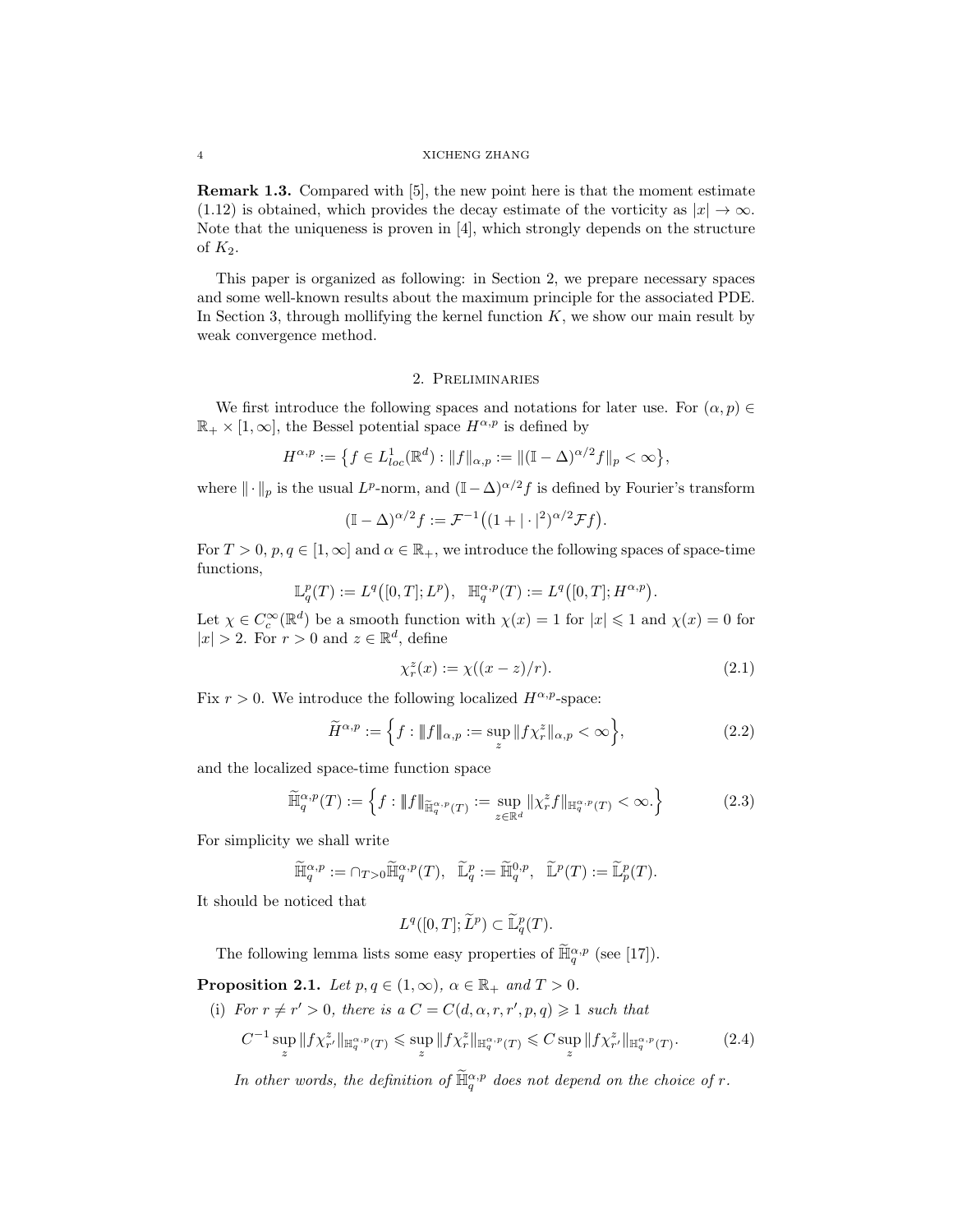#### 4 XICHENG ZHANG

Remark 1.3. Compared with [5], the new point here is that the moment estimate (1.12) is obtained, which provides the decay estimate of the vorticity as  $|x| \to \infty$ . Note that the uniqueness is proven in [4], which strongly depends on the structure of  $K_2$ .

This paper is organized as following: in Section 2, we prepare necessary spaces and some well-known results about the maximum principle for the associated PDE. In Section 3, through mollifying the kernel function  $K$ , we show our main result by weak convergence method.

### 2. Preliminaries

We first introduce the following spaces and notations for later use. For  $(\alpha, p) \in$  $\mathbb{R}_+ \times [1,\infty]$ , the Bessel potential space  $H^{\alpha,p}$  is defined by

$$
H^{\alpha,p} := \{ f \in L^1_{loc}(\mathbb{R}^d) : ||f||_{\alpha,p} := ||(\mathbb{I} - \Delta)^{\alpha/2} f||_p < \infty \},\
$$

where  $\|\cdot\|_p$  is the usual  $L^p$ -norm, and  $(\mathbb{I}-\Delta)^{\alpha/2}f$  is defined by Fourier's transform

$$
(\mathbb{I} - \Delta)^{\alpha/2} f := \mathcal{F}^{-1}((1 + |\cdot|^2)^{\alpha/2} \mathcal{F} f).
$$

For  $T > 0$ ,  $p, q \in [1, \infty]$  and  $\alpha \in \mathbb{R}_+$ , we introduce the following spaces of space-time functions,

$$
\mathbb{L}^p_q(T):=L^q\big([0,T];L^p\big),\quad \mathbb{H}^{\alpha,p}_q(T):=L^q\big([0,T];H^{\alpha,p}\big).
$$

Let  $\chi \in C_c^{\infty}(\mathbb{R}^d)$  be a smooth function with  $\chi(x) = 1$  for  $|x| \leq 1$  and  $\chi(x) = 0$  for  $|x| > 2$ . For  $r > 0$  and  $z \in \mathbb{R}^d$ , define

$$
\chi_r^z(x) := \chi((x-z)/r). \tag{2.1}
$$

Fix  $r > 0$ . We introduce the following localized  $H^{\alpha, p}$ -space:

$$
\widetilde{H}^{\alpha,p} := \left\{ f : \|f\|_{\alpha,p} := \sup_z \|f\chi_r^z\|_{\alpha,p} < \infty \right\},\tag{2.2}
$$

and the localized space-time function space

$$
\widetilde{\mathbb{H}}_q^{\alpha,p}(T) := \left\{ f : \|f\|_{\widetilde{\mathbb{H}}_q^{\alpha,p}(T)} := \sup_{z \in \mathbb{R}^d} \|\chi_r^z f\|_{\mathbb{H}_q^{\alpha,p}(T)} < \infty. \right\} \tag{2.3}
$$

For simplicity we shall write

$$
\widetilde{\mathbb{H}}_q^{\alpha,p} := \cap_{T>0} \widetilde{\mathbb{H}}_q^{\alpha,p}(T), \quad \widetilde{\mathbb{L}}_q^p := \widetilde{\mathbb{H}}_q^{0,p}, \quad \widetilde{\mathbb{L}}^p(T) := \widetilde{\mathbb{L}}_p^p(T).
$$

It should be noticed that

$$
L^q([0,T];\widetilde{L}^p) \subset \widetilde{\mathbb{L}}_q^p(T).
$$

The following lemma lists some easy properties of  $\widetilde{\mathbb{H}}_q^{\alpha,p}$  (see [17]).

**Proposition 2.1.** Let  $p, q \in (1, \infty)$ ,  $\alpha \in \mathbb{R}_+$  and  $T > 0$ .

(i) For 
$$
r \neq r' > 0
$$
, there is a  $C = C(d, \alpha, r, r', p, q) \geq 1$  such that

$$
C^{-1} \sup_{z} \|f\chi^z_{r'}\|_{\mathbb{H}^{\alpha, p}_{q}(T)} \leq \sup_{z} \|f\chi^z_{r}\|_{\mathbb{H}^{\alpha, p}_{q}(T)} \leq C \sup_{z} \|f\chi^z_{r'}\|_{\mathbb{H}^{\alpha, p}_{q}(T)}.
$$
 (2.4)

In other words, the definition of  $\widetilde{\mathbb{H}}_q^{\alpha,p}$  does not depend on the choice of r.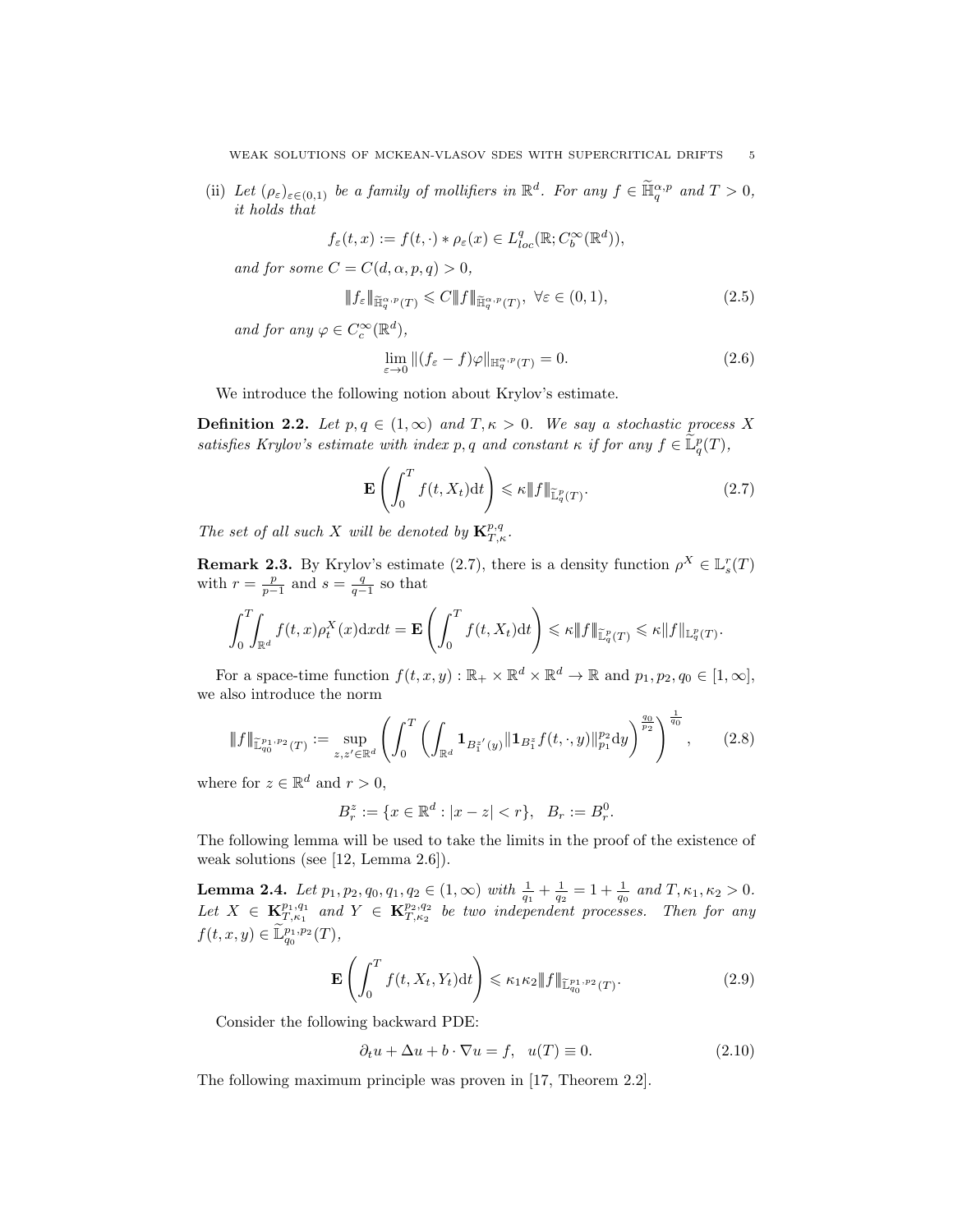(ii) Let  $(\rho_{\varepsilon})_{\varepsilon \in (0,1)}$  be a family of mollifiers in  $\mathbb{R}^d$ . For any  $f \in \widetilde{\mathbb{H}}_q^{\alpha,p}$  and  $T > 0$ , it holds that

$$
f_\varepsilon(t,x):=f(t,\cdot)*\rho_\varepsilon(x)\in L^q_{loc}(\mathbb{R};C^\infty_b(\mathbb{R}^d)),
$$

and for some  $C = C(d, \alpha, p, q) > 0$ ,

$$
\|f_{\varepsilon}\|_{\widetilde{\mathbb{H}}_q^{\alpha,p}(T)} \leqslant C \|f\|_{\widetilde{\mathbb{H}}_q^{\alpha,p}(T)}, \ \forall \varepsilon \in (0,1), \tag{2.5}
$$

and for any  $\varphi \in C_c^{\infty}(\mathbb{R}^d)$ ,

$$
\lim_{\varepsilon \to 0} \|(f_{\varepsilon} - f)\varphi\|_{\mathbb{H}^{\alpha, p}_{q}(T)} = 0. \tag{2.6}
$$

We introduce the following notion about Krylov's estimate.

**Definition 2.2.** Let  $p, q \in (1, \infty)$  and  $T, \kappa > 0$ . We say a stochastic process X satisfies Krylov's estimate with index p, q and constant  $\kappa$  if for any  $f \in \widetilde{\mathbb{L}}_q^p(T)$ ,

$$
\mathbf{E}\left(\int_0^T f(t, X_t)dt\right) \leq \kappa \|f\|_{\widetilde{\mathbb{L}}_q^p(T)}.\tag{2.7}
$$

The set of all such X will be denoted by  ${\bf K}_{T,\kappa}^{p,q}$ .

**Remark 2.3.** By Krylov's estimate (2.7), there is a density function  $\rho^X \in \mathbb{L}_s^r(T)$ with  $r = \frac{p}{p-1}$  and  $s = \frac{q}{q-1}$  so that

$$
\int_0^T \int_{\mathbb{R}^d} f(t,x) \rho_t^X(x) \mathrm{d}x \mathrm{d}t = \mathbf{E} \left( \int_0^T f(t,X_t) \mathrm{d}t \right) \leq \kappa \|f\|_{\widetilde{\mathbb{L}}_q^p(T)} \leq \kappa \|f\|_{\mathbb{L}_q^p(T)}.
$$

For a space-time function  $f(t, x, y) : \mathbb{R}_+ \times \mathbb{R}^d \times \mathbb{R}^d \to \mathbb{R}$  and  $p_1, p_2, q_0 \in [1, \infty]$ , we also introduce the norm

$$
\|f\|_{\mathbb{L}_{q_0}^{p_1,p_2}(T)} := \sup_{z,z' \in \mathbb{R}^d} \left( \int_0^T \left( \int_{\mathbb{R}^d} \mathbf{1}_{B_1^{z'}(y)} \|\mathbf{1}_{B_1^{z}} f(t,\cdot,y)\|_{p_1}^{p_2} dy \right)^{\frac{q_0}{p_2}} \right)^{\frac{1}{q_0}},\tag{2.8}
$$

where for  $z \in \mathbb{R}^d$  and  $r > 0$ ,

$$
B_r^z := \{ x \in \mathbb{R}^d : |x - z| < r \}, \ \ B_r := B_r^0.
$$

The following lemma will be used to take the limits in the proof of the existence of weak solutions (see [12, Lemma 2.6]).

**Lemma 2.4.** Let  $p_1, p_2, q_0, q_1, q_2 \in (1, \infty)$  with  $\frac{1}{q_1} + \frac{1}{q_2} = 1 + \frac{1}{q_0}$  and  $T, \kappa_1, \kappa_2 > 0$ . Let  $X \in \mathbf{K}_{T,\kappa_1}^{p_1,q_1}$  and  $Y \in \mathbf{K}_{T,\kappa_2}^{p_2,q_2}$  be two independent processes. Then for any  $f(t, x, y) \in \tilde{\mathbb{L}}_{q_0}^{p_1, p_2}(T)$ ,

$$
\mathbf{E}\left(\int_0^T f(t, X_t, Y_t)dt\right) \leqslant \kappa_1 \kappa_2 \|f\|_{\widetilde{\mathbb{L}}_{q_0}^{p_1, p_2}(T)}.\tag{2.9}
$$

Consider the following backward PDE:

$$
\partial_t u + \Delta u + b \cdot \nabla u = f, \quad u(T) \equiv 0. \tag{2.10}
$$

The following maximum principle was proven in [17, Theorem 2.2].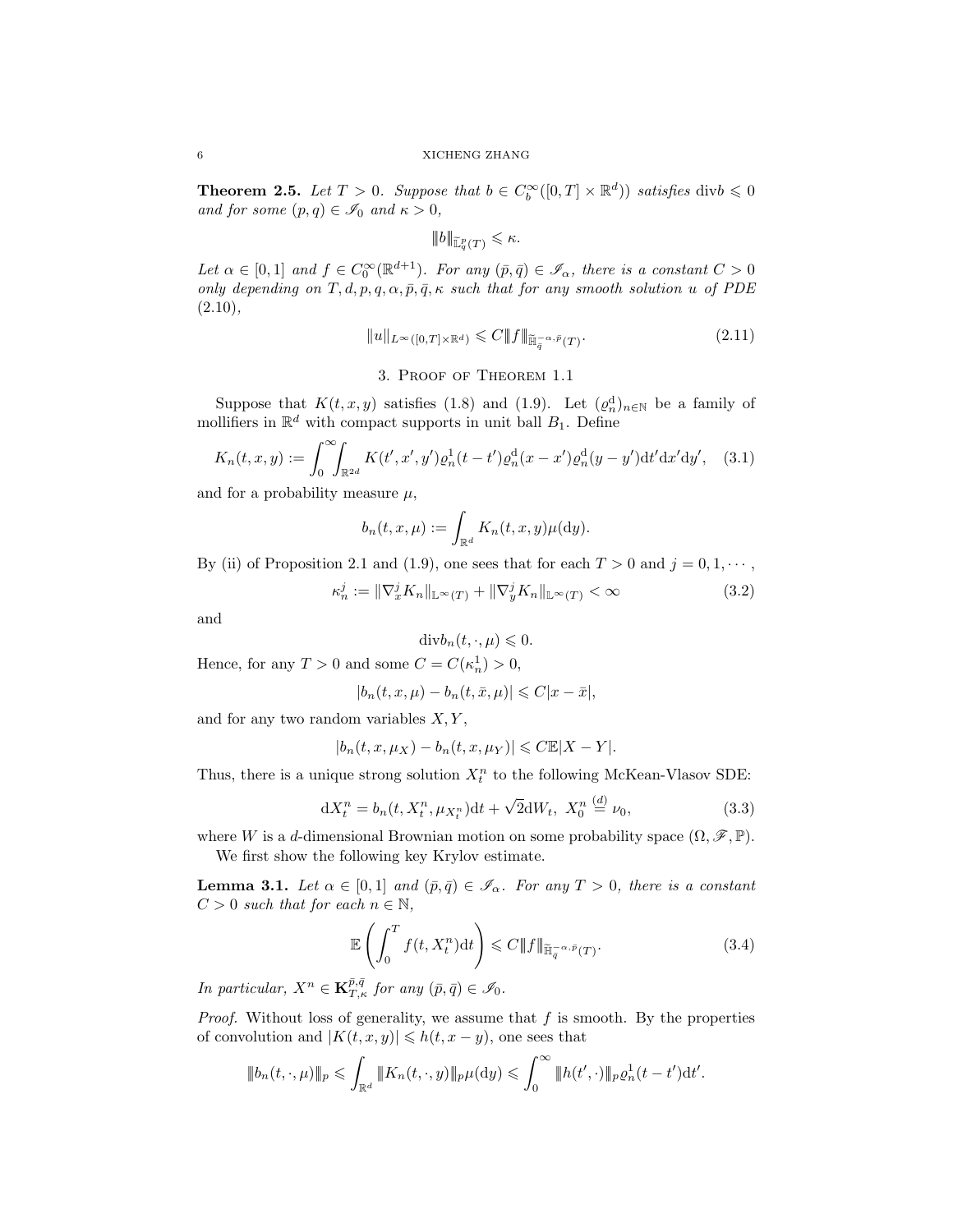**Theorem 2.5.** Let  $T > 0$ . Suppose that  $b \in C_b^{\infty}([0, T] \times \mathbb{R}^d)$  satisfies div $b \leq 0$ and for some  $(p, q) \in \mathscr{I}_0$  and  $\kappa > 0$ ,

$$
|\!|\!| b |\!|\!|_{\widetilde{\mathbb{L}}^p_q(T)}\leqslant \kappa.
$$

Let  $\alpha \in [0,1]$  and  $f \in C_0^{\infty}(\mathbb{R}^{d+1})$ . For any  $(\bar{p}, \bar{q}) \in \mathscr{I}_{\alpha}$ , there is a constant  $C > 0$ only depending on  $T, d, p, q, \alpha, \bar{p}, \bar{q}, \kappa$  such that for any smooth solution u of PDE  $(2.10),$ 

$$
||u||_{L^{\infty}([0,T]\times\mathbb{R}^d)} \leqslant C||f||_{\widetilde{\mathbb{H}}_q^{-\alpha,\bar{p}}(T)}.
$$
\n(2.11)

## 3. Proof of Theorem 1.1

Suppose that  $K(t, x, y)$  satisfies (1.8) and (1.9). Let  $(\varrho_n^d)_{n \in \mathbb{N}}$  be a family of mollifiers in  $\mathbb{R}^d$  with compact supports in unit ball  $B_1$ . Define

$$
K_n(t, x, y) := \int_0^\infty \int_{\mathbb{R}^{2d}} K(t', x', y') \rho_n^1(t - t') \rho_n^d(x - x') \rho_n^d(y - y') dt' dx' dy', \quad (3.1)
$$

and for a probability measure  $\mu$ ,

$$
b_n(t, x, \mu) := \int_{\mathbb{R}^d} K_n(t, x, y) \mu(\mathrm{d}y).
$$

By (ii) of Proposition 2.1 and (1.9), one sees that for each  $T > 0$  and  $j = 0, 1, \dots$ ,

$$
\kappa_n^j := \|\nabla_x^j K_n\|_{\mathbb{L}^\infty(T)} + \|\nabla_y^j K_n\|_{\mathbb{L}^\infty(T)} < \infty \tag{3.2}
$$

and

$$
\mathrm{div}b_n(t,\cdot,\mu)\leqslant 0.
$$

Hence, for any  $T > 0$  and some  $C = C(\kappa_n^1) > 0$ ,

$$
|b_n(t, x, \mu) - b_n(t, \bar{x}, \mu)| \leq C|x - \bar{x}|,
$$

and for any two random variables  $X, Y$ ,

$$
|b_n(t, x, \mu_X) - b_n(t, x, \mu_Y)| \leq C \mathbb{E}|X - Y|.
$$

Thus, there is a unique strong solution  $X_t^n$  to the following McKean-Vlasov SDE:

$$
dX_t^n = b_n(t, X_t^n, \mu_{X_t^n})dt + \sqrt{2}dW_t, \ X_0^n \stackrel{(d)}{=} \nu_0,
$$
\n(3.3)

where W is a d-dimensional Brownian motion on some probability space  $(\Omega, \mathscr{F}, \mathbb{P})$ . We first show the following key Krylov estimate.

**Lemma 3.1.** Let  $\alpha \in [0,1]$  and  $(\bar{p}, \bar{q}) \in \mathscr{I}_{\alpha}$ . For any  $T > 0$ , there is a constant  $C > 0$  such that for each  $n \in \mathbb{N}$ ,

$$
\mathbb{E}\left(\int_{0}^{T} f(t, X_{t}^{n})dt\right) \leqslant C \|f\|_{\widetilde{\mathbb{H}}_{\overline{q}}^{-\alpha, \overline{p}}(T)}.
$$
\n(3.4)

In particular,  $X^n \in \mathbf{K}_{T,\kappa}^{\bar{p},\bar{q}}$  for any  $(\bar{p},\bar{q}) \in \mathscr{I}_0$ .

*Proof.* Without loss of generality, we assume that  $f$  is smooth. By the properties of convolution and  $|K(t, x, y)| \le h(t, x - y)$ , one sees that

$$
|\!|\!|b_n(t,\cdot,\mu)\!|\!|_p \leq \int_{\mathbb{R}^d} |\!|\!| K_n(t,\cdot,y) |\!|\!|_p \mu(\mathrm{d} y) \leq \int_0^\infty |\!|\!| h(t',\cdot)\!|\!|_p \varrho_n^1(t-t') \mathrm{d} t'.
$$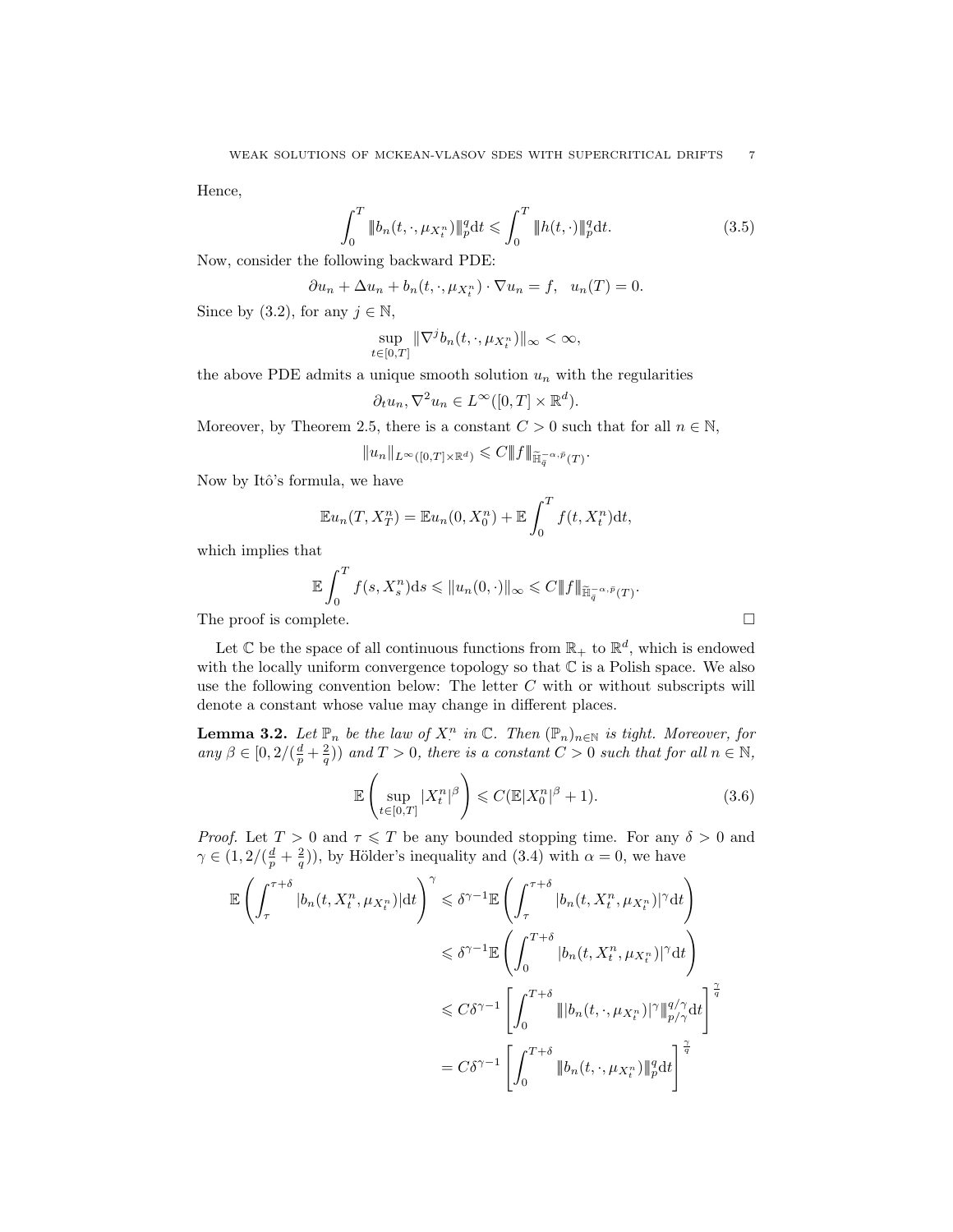Hence,

$$
\int_{0}^{T} \|b_{n}(t,\cdot,\mu_{X_{t}^{n}})\|_{p}^{q} dt \leq \int_{0}^{T} \|h(t,\cdot)\|_{p}^{q} dt.
$$
\n(3.5)

.

Now, consider the following backward PDE:

$$
\partial u_n + \Delta u_n + b_n(t, \cdot, \mu_{X_t^n}) \cdot \nabla u_n = f, \quad u_n(T) = 0.
$$

Since by (3.2), for any  $j \in \mathbb{N}$ ,

$$
\sup_{t\in[0,T]}\|\nabla^j b_n(t,\cdot,\mu_{X_t^n})\|_{\infty}<\infty,
$$

the above PDE admits a unique smooth solution  $u_n$  with the regularities

$$
\partial_t u_n, \nabla^2 u_n \in L^\infty([0,T] \times \mathbb{R}^d).
$$

Moreover, by Theorem 2.5, there is a constant  $C > 0$  such that for all  $n \in \mathbb{N}$ ,

$$
||u_n||_{L^\infty([0,T]\times{\mathbb R}^d)}\leqslant C||f||_{{\widetilde{\mathbb H}}_q^{-\alpha,{\bar p}}(T)}
$$

Now by Itô's formula, we have

$$
\mathbb{E}u_n(T, X_T^n) = \mathbb{E}u_n(0, X_0^n) + \mathbb{E}\int_0^T f(t, X_t^n)dt,
$$

which implies that

$$
\mathbb{E}\int_0^T f(s,X^n_s)\mathrm{d} s \leqslant \|u_n(0,\cdot)\|_{\infty} \leqslant C \|f\|_{\widetilde{\mathbb{H}}_q^{-\alpha,\widetilde{p}}(T)}.
$$

The proof is complete.  $\Box$ 

Let  $\mathbb C$  be the space of all continuous functions from  $\mathbb R_+$  to  $\mathbb R^d$ , which is endowed with the locally uniform convergence topology so that  $\mathbb C$  is a Polish space. We also use the following convention below: The letter  $C$  with or without subscripts will denote a constant whose value may change in different places.

**Lemma 3.2.** Let  $\mathbb{P}_n$  be the law of  $X^n$  in  $\mathbb{C}$ . Then  $(\mathbb{P}_n)_{n\in\mathbb{N}}$  is tight. Moreover, for any  $\beta \in [0, 2/(\frac{d}{p} + \frac{2}{q}))$  and  $T > 0$ , there is a constant  $C > 0$  such that for all  $n \in \mathbb{N}$ ,

$$
\mathbb{E}\left(\sup_{t\in[0,T]}|X_t^n|^{\beta}\right) \leqslant C(\mathbb{E}|X_0^n|^{\beta}+1). \tag{3.6}
$$

*Proof.* Let  $T > 0$  and  $\tau \leq T$  be any bounded stopping time. For any  $\delta > 0$  and  $\gamma \in (1, 2/(\frac{d}{p} + \frac{2}{q}))$ , by Hölder's inequality and (3.4) with  $\alpha = 0$ , we have

$$
\mathbb{E}\left(\int_{\tau}^{\tau+\delta}|b_n(t, X_t^n, \mu_{X_t^n})|\mathrm{d}t\right)^{\gamma} \leq \delta^{\gamma-1}\mathbb{E}\left(\int_{\tau}^{\tau+\delta}|b_n(t, X_t^n, \mu_{X_t^n})|^{\gamma}\mathrm{d}t\right)
$$
  

$$
\leq \delta^{\gamma-1}\mathbb{E}\left(\int_{0}^{T+\delta}|b_n(t, X_t^n, \mu_{X_t^n})|^{\gamma}\mathrm{d}t\right)
$$
  

$$
\leq C\delta^{\gamma-1}\left[\int_{0}^{T+\delta}\|b_n(t, \cdot, \mu_{X_t^n})|^{\gamma}\|_{p/\gamma}^{q/\gamma}\mathrm{d}t\right]^{\frac{\gamma}{q}}
$$
  

$$
= C\delta^{\gamma-1}\left[\int_{0}^{T+\delta}\|b_n(t, \cdot, \mu_{X_t^n})\|_{p}^{q}\mathrm{d}t\right]^{\frac{\gamma}{q}}
$$

$$
\Box
$$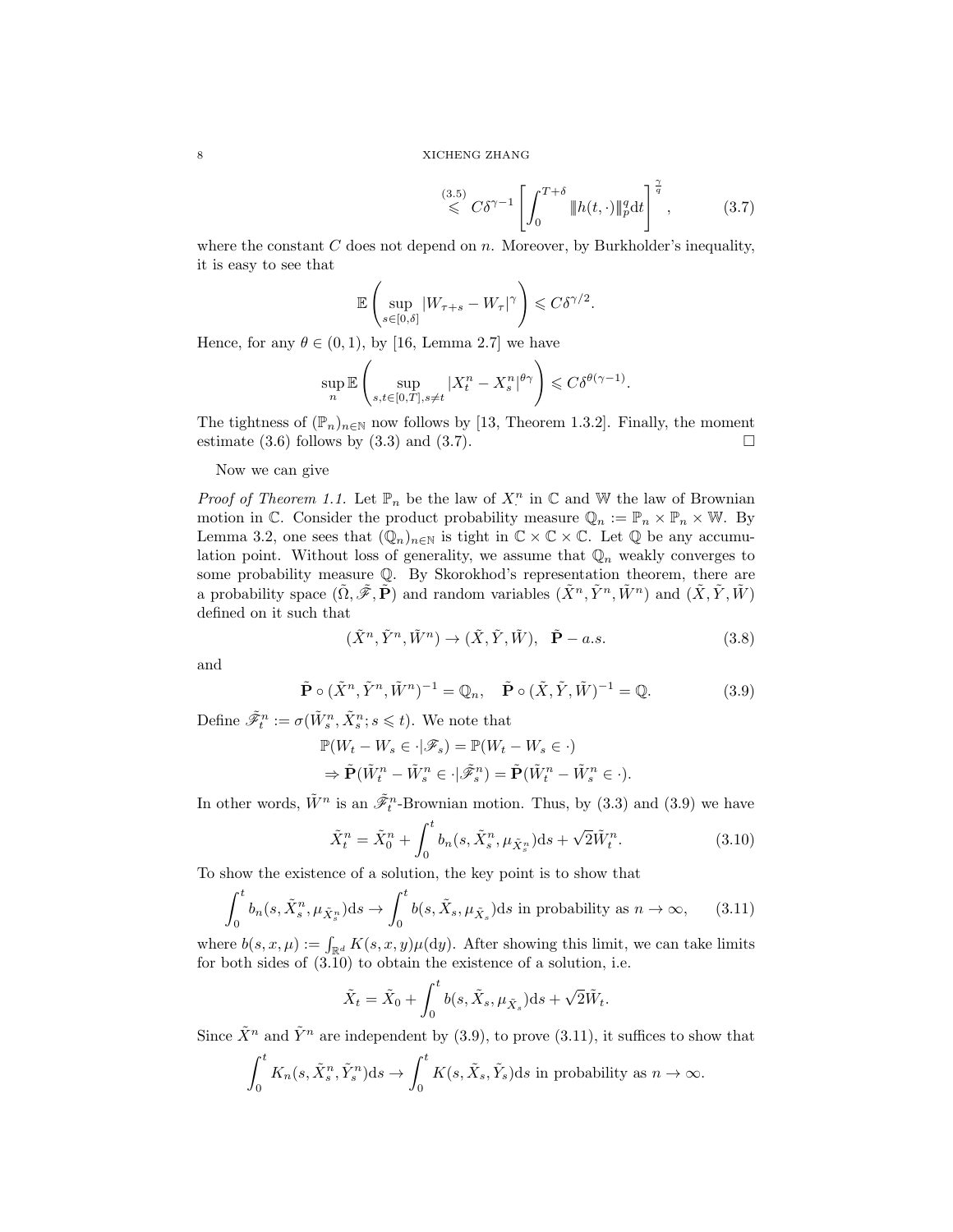$$
\stackrel{(3.5)}{\leqslant} C\delta^{\gamma-1} \left[ \int_0^{T+\delta} \|h(t,\cdot)\|_p^q \mathrm{d}t \right]^{\frac{\gamma}{q}}, \tag{3.7}
$$

where the constant  $C$  does not depend on  $n$ . Moreover, by Burkholder's inequality, it is easy to see that

$$
\mathbb{E}\left(\sup_{s\in[0,\delta]}|W_{\tau+s}-W_{\tau}|^{\gamma}\right)\leqslant C\delta^{\gamma/2}.
$$

Hence, for any  $\theta \in (0, 1)$ , by [16, Lemma 2.7] we have

$$
\sup_{n} \mathbb{E}\left(\sup_{s,t\in[0,T],s\neq t} |X^n_t - X^n_s|^{\theta\gamma}\right) \leqslant C\delta^{\theta(\gamma-1)}.
$$

The tightness of  $(\mathbb{P}_n)_{n\in\mathbb{N}}$  now follows by [13, Theorem 1.3.2]. Finally, the moment estimate (3.6) follows by (3.3) and (3.7).  $\Box$ 

Now we can give

*Proof of Theorem 1.1.* Let  $\mathbb{P}_n$  be the law of  $X^n$  in  $\mathbb{C}$  and  $\mathbb{W}$  the law of Brownian motion in C. Consider the product probability measure  $\mathbb{Q}_n := \mathbb{P}_n \times \mathbb{P}_n \times \mathbb{W}$ . By Lemma 3.2, one sees that  $(\mathbb{Q}_n)_{n\in\mathbb{N}}$  is tight in  $\mathbb{C}\times\mathbb{C}\times\mathbb{C}$ . Let  $\mathbb{Q}$  be any accumulation point. Without loss of generality, we assume that  $\mathbb{Q}_n$  weakly converges to some probability measure Q. By Skorokhod's representation theorem, there are a probability space  $(\tilde{\Omega}, \tilde{\mathscr{F}}, \tilde{\mathbf{P}})$  and random variables  $(\tilde{X}^n, \tilde{Y}^n, \tilde{W}^n)$  and  $(\tilde{X}, \tilde{Y}, \tilde{W})$ defined on it such that

$$
(\tilde{X}^n, \tilde{Y}^n, \tilde{W}^n) \to (\tilde{X}, \tilde{Y}, \tilde{W}), \quad \tilde{\mathbf{P}} - a.s.
$$
\n(3.8)

and

$$
\tilde{\mathbf{P}} \circ (\tilde{X}^n, \tilde{Y}^n, \tilde{W}^n)^{-1} = \mathbb{Q}_n, \quad \tilde{\mathbf{P}} \circ (\tilde{X}, \tilde{Y}, \tilde{W})^{-1} = \mathbb{Q}.
$$
 (3.9)

Define  $\tilde{\mathscr{F}}_t^n := \sigma(\tilde{W}_s^n, \tilde{X}_s^n; s \leq t)$ . We note that

$$
\mathbb{P}(W_t - W_s \in \cdot | \mathcal{F}_s) = \mathbb{P}(W_t - W_s \in \cdot)
$$
  
\n
$$
\Rightarrow \tilde{\mathbf{P}}(\tilde{W}_t^n - \tilde{W}_s^n \in \cdot | \tilde{\mathcal{F}}_s^n) = \tilde{\mathbf{P}}(\tilde{W}_t^n - \tilde{W}_s^n \in \cdot).
$$

In other words,  $\tilde{W}^n$  is an  $\tilde{\mathscr{F}}_t^n$ -Brownian motion. Thus, by (3.3) and (3.9) we have

$$
\tilde{X}_t^n = \tilde{X}_0^n + \int_0^t b_n(s, \tilde{X}_s^n, \mu_{\tilde{X}_s^n}) ds + \sqrt{2} \tilde{W}_t^n.
$$
\n(3.10)

To show the existence of a solution, the key point is to show that

$$
\int_0^t b_n(s, \tilde{X}_s^n, \mu_{\tilde{X}_s^n}) ds \to \int_0^t b(s, \tilde{X}_s, \mu_{\tilde{X}_s}) ds \text{ in probability as } n \to \infty,
$$
 (3.11)

where  $b(s, x, \mu) := \int_{\mathbb{R}^d} K(s, x, y) \mu(\mathrm{d}y)$ . After showing this limit, we can take limits for both sides of (3.10) to obtain the existence of a solution, i.e.

$$
\tilde{X}_t = \tilde{X}_0 + \int_0^t b(s, \tilde{X}_s, \mu_{\tilde{X}_s}) ds + \sqrt{2} \tilde{W}_t.
$$

Since  $\tilde{X}^n$  and  $\tilde{Y}^n$  are independent by (3.9), to prove (3.11), it suffices to show that

$$
\int_0^t K_n(s, \tilde{X}_s^n, \tilde{Y}_s^n) ds \to \int_0^t K(s, \tilde{X}_s, \tilde{Y}_s) ds \text{ in probability as } n \to \infty.
$$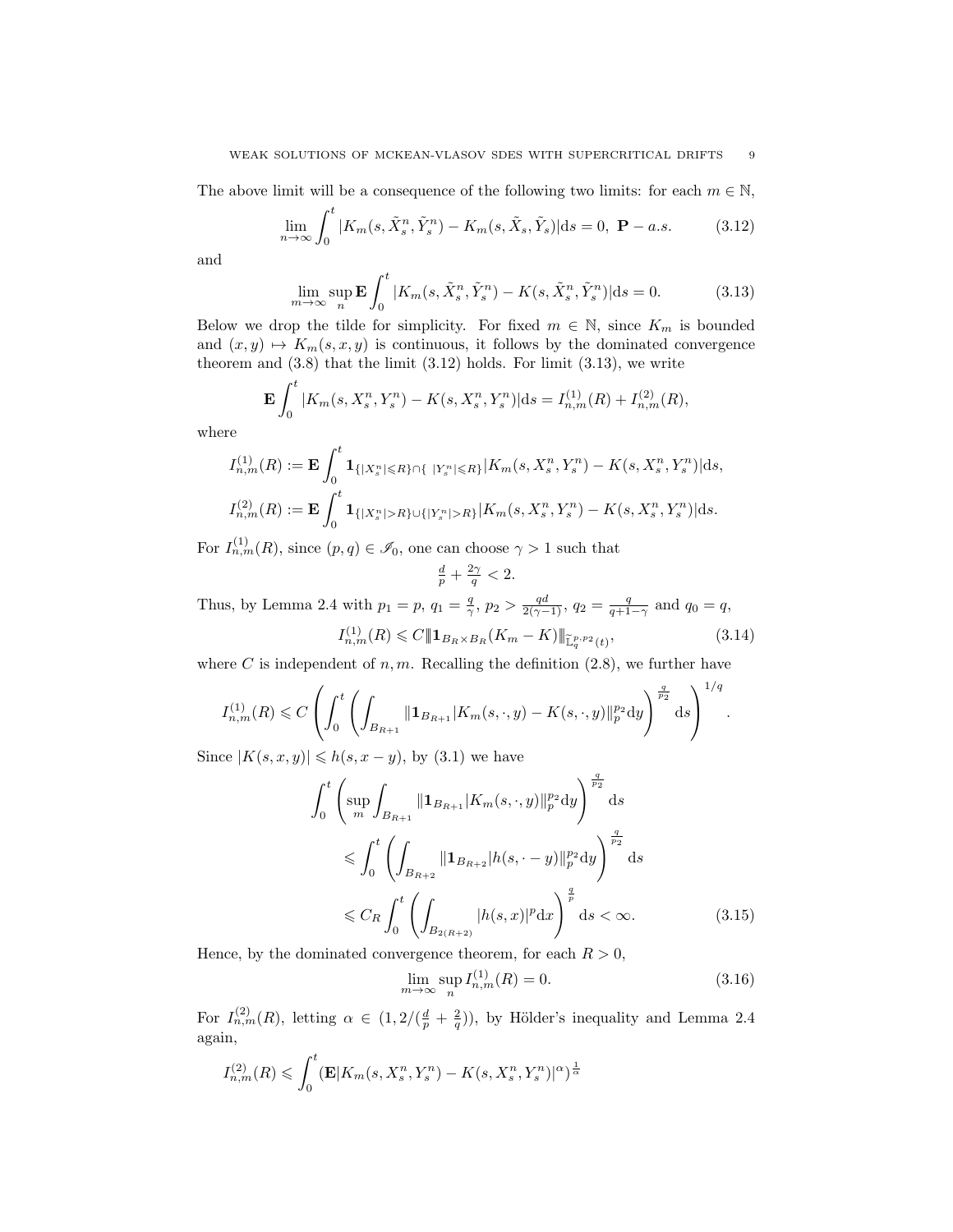The above limit will be a consequence of the following two limits: for each  $m \in \mathbb{N}$ ,

$$
\lim_{n \to \infty} \int_0^t |K_m(s, \tilde{X}_s^n, \tilde{Y}_s^n) - K_m(s, \tilde{X}_s, \tilde{Y}_s)| \, \mathrm{d}s = 0, \ \mathbf{P} - a.s. \tag{3.12}
$$

and

$$
\lim_{m \to \infty} \sup_{n} \mathbf{E} \int_{0}^{t} |K_{m}(s, \tilde{X}_{s}^{n}, \tilde{Y}_{s}^{n}) - K(s, \tilde{X}_{s}^{n}, \tilde{Y}_{s}^{n})| ds = 0.
$$
 (3.13)

Below we drop the tilde for simplicity. For fixed  $m \in \mathbb{N}$ , since  $K_m$  is bounded and  $(x, y) \mapsto K_m(s, x, y)$  is continuous, it follows by the dominated convergence theorem and  $(3.8)$  that the limit  $(3.12)$  holds. For limit  $(3.13)$ , we write

$$
\mathbf{E} \int_0^{\infty} |K_m(s, X_s^n, Y_s^n) - K(s, X_s^n, Y_s^n)| \mathrm{d}s = I_{n,m}^{(1)}(R) + I_{n,m}^{(2)}(R),
$$

where

 $\alpha$ <sup>t</sup>

$$
I_{n,m}^{(1)}(R) := \mathbf{E} \int_0^t \mathbf{1}_{\{|X_s^n| \le R\} \cap \{ |Y_s^n| \le R\}} |K_m(s, X_s^n, Y_s^n) - K(s, X_s^n, Y_s^n)| ds,
$$
  

$$
I_{n,m}^{(2)}(R) := \mathbf{E} \int_0^t \mathbf{1}_{\{|X_s^n| > R\} \cup \{|Y_s^n| > R\}} |K_m(s, X_s^n, Y_s^n) - K(s, X_s^n, Y_s^n)| ds.
$$

For  $I_{n,m}^{(1)}(R)$ , since  $(p,q) \in \mathscr{I}_0$ , one can choose  $\gamma > 1$  such that

$$
\frac{d}{p} + \frac{2\gamma}{q} < 2.
$$

Thus, by Lemma 2.4 with  $p_1 = p$ ,  $q_1 = \frac{q}{\gamma}$ ,  $p_2 > \frac{qd}{2(\gamma - 1)}$ ,  $q_2 = \frac{q}{q + 1 - \gamma}$  and  $q_0 = q$ ,

$$
I_{n,m}^{(1)}(R) \leq C \| \mathbf{1}_{B_R \times B_R}(K_m - K) \|_{\widetilde{\mathbb{L}}_q^{p,p_2}(t)},
$$
\n(3.14)

where C is independent of  $n, m$ . Recalling the definition  $(2.8)$ , we further have

$$
I_{n,m}^{(1)}(R) \leq C \left( \int_0^t \left( \int_{B_{R+1}} ||\mathbf{1}_{B_{R+1}}|K_m(s,\cdot,y) - K(s,\cdot,y)||_p^{p_2} dy \right)^{\frac{q}{p_2}} ds \right)^{1/q}.
$$

Since  $|K(s, x, y)| \leqslant h(s, x - y)$ , by (3.1) we have

$$
\int_{0}^{t} \left( \sup_{m} \int_{B_{R+1}} ||\mathbf{1}_{B_{R+1}} | K_{m}(s, \cdot, y) ||_{p}^{p_{2}} dy \right)^{\frac{q}{p_{2}}} ds
$$
\n
$$
\leq \int_{0}^{t} \left( \int_{B_{R+2}} ||\mathbf{1}_{B_{R+2}} | h(s, \cdot - y) ||_{p}^{p_{2}} dy \right)^{\frac{q}{p_{2}}} ds
$$
\n
$$
\leq C_{R} \int_{0}^{t} \left( \int_{B_{2(R+2)}} |h(s, x)|^{p} dx \right)^{\frac{q}{p}} ds < \infty.
$$
\n(3.15)

Hence, by the dominated convergence theorem, for each  $R > 0$ ,

$$
\lim_{m \to \infty} \sup_{n} I_{n,m}^{(1)}(R) = 0.
$$
\n(3.16)

For  $I_{n,m}^{(2)}(R)$ , letting  $\alpha \in (1,2/(\frac{d}{p}+\frac{2}{q}))$ , by Hölder's inequality and Lemma 2.4 again,

$$
I_{n,m}^{(2)}(R) \leq \int_0^t (\mathbf{E}|K_m(s, X_s^n, Y_s^n) - K(s, X_s^n, Y_s^n)|^{\alpha})^{\frac{1}{\alpha}}
$$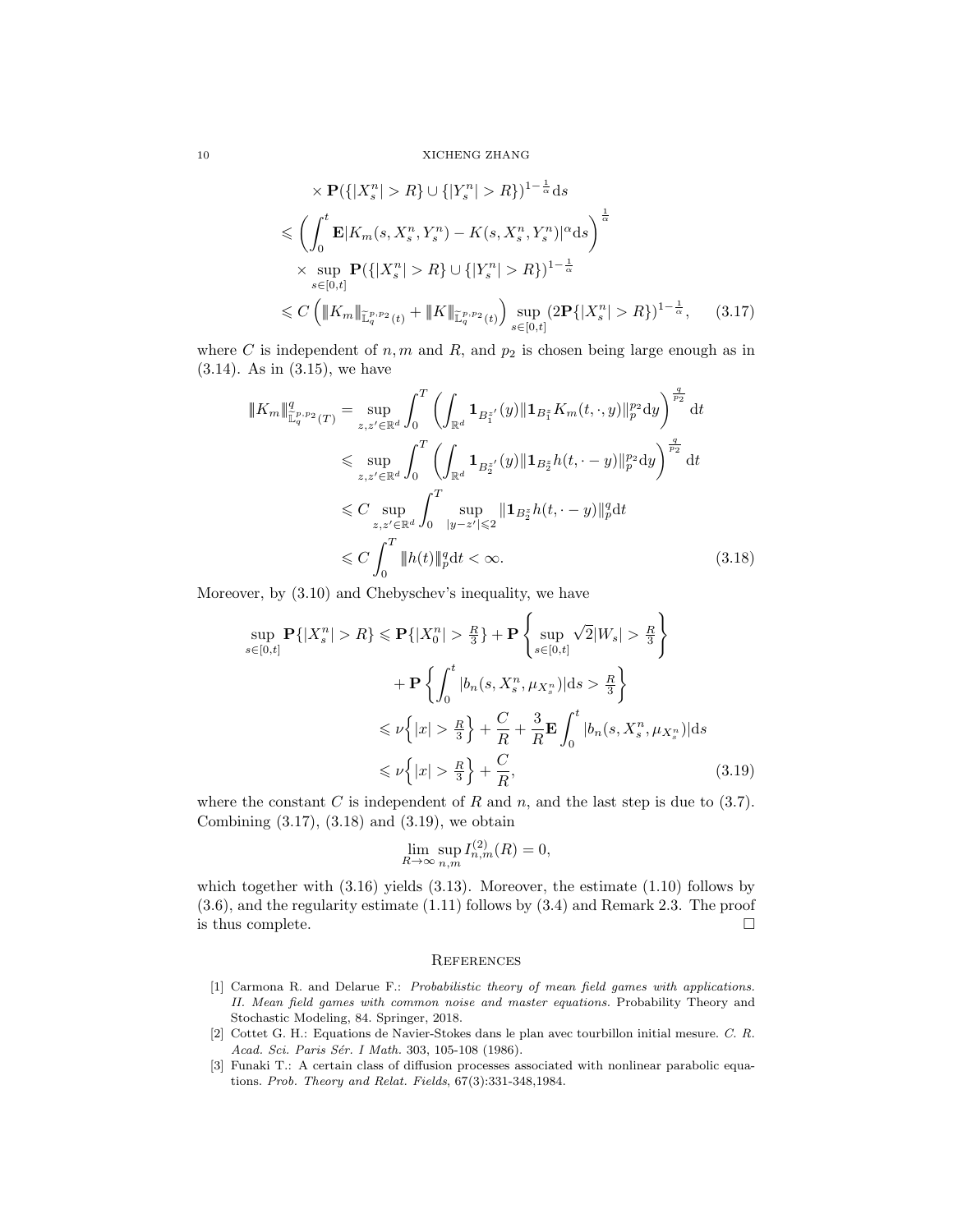10 XICHENG ZHANG

$$
\times \mathbf{P}(\{|X_s^n| > R\} \cup \{|Y_s^n| > R\})^{1 - \frac{1}{\alpha}} ds
$$
  
\n
$$
\leq \left(\int_0^t \mathbf{E}|K_m(s, X_s^n, Y_s^n) - K(s, X_s^n, Y_s^n)|^{\alpha} ds\right)^{\frac{1}{\alpha}}
$$
  
\n
$$
\times \sup_{s \in [0,t]} \mathbf{P}(\{|X_s^n| > R\} \cup \{|Y_s^n| > R\})^{1 - \frac{1}{\alpha}}
$$
  
\n
$$
\leq C \left(\|K_m\|_{\mathbb{L}_q^{p, p_2}(t)} + \|K\|_{\mathbb{L}_q^{p, p_2}(t)}\right) \sup_{s \in [0,t]} (2\mathbf{P}\{|X_s^n| > R\})^{1 - \frac{1}{\alpha}}, \quad (3.17)
$$

where C is independent of  $n, m$  and  $R$ , and  $p_2$  is chosen being large enough as in (3.14). As in (3.15), we have

$$
\|K_m\|_{\mathbb{L}_q^{p,p_2}(T)}^q = \sup_{z,z' \in \mathbb{R}^d} \int_0^T \left( \int_{\mathbb{R}^d} \mathbf{1}_{B_1^{z'}}(y) \|\mathbf{1}_{B_1^{z}} K_m(t,\cdot,y)\|_{p}^{p_2} dy \right)^{\frac{q}{p_2}} dt
$$
  
\$\leqslant \sup\_{z,z' \in \mathbb{R}^d} \int\_0^T \left( \int\_{\mathbb{R}^d} \mathbf{1}\_{B\_2^{z'}}(y) \|\mathbf{1}\_{B\_2^{z}} h(t,\cdot-y)\|\_{p}^{p\_2} dy \right)^{\frac{q}{p\_2}} dt\$  
\$\leqslant C \sup\_{z,z' \in \mathbb{R}^d} \int\_0^T \sup\_{|y-z'| \leqslant 2} \|\mathbf{1}\_{B\_2^{z}} h(t,\cdot-y)\|\_{p}^q dt\$  
\$\leqslant C \int\_0^T \|h(t)\|\_{p}^q dt < \infty\$. \tag{3.18}

Moreover, by (3.10) and Chebyschev's inequality, we have

$$
\sup_{s \in [0,t]} \mathbf{P}\{|X_s^n| > R\} \le \mathbf{P}\{|X_0^n| > \frac{R}{3}\} + \mathbf{P}\left\{\sup_{s \in [0,t]} \sqrt{2}|W_s| > \frac{R}{3}\right\} + \mathbf{P}\left\{\int_0^t |b_n(s, X_s^n, \mu_{X_s^n})|ds > \frac{R}{3}\right\} \le \nu\left\{|x| > \frac{R}{3}\right\} + \frac{C}{R} + \frac{3}{R}\mathbf{E}\int_0^t |b_n(s, X_s^n, \mu_{X_s^n})|ds \le \nu\left\{|x| > \frac{R}{3}\right\} + \frac{C}{R},
$$
\n(3.19)

where the constant C is independent of R and n, and the last step is due to  $(3.7)$ . Combining (3.17), (3.18) and (3.19), we obtain

$$
\lim_{R \to \infty} \sup_{n,m} I_{n,m}^{(2)}(R) = 0,
$$

which together with  $(3.16)$  yields  $(3.13)$ . Moreover, the estimate  $(1.10)$  follows by (3.6), and the regularity estimate (1.11) follows by (3.4) and Remark 2.3. The proof is thus complete.  $\Box$ 

#### **REFERENCES**

- [1] Carmona R. and Delarue F.: Probabilistic theory of mean field games with applications. II. Mean field games with common noise and master equations. Probability Theory and Stochastic Modeling, 84. Springer, 2018.
- [2] Cottet G. H.: Equations de Navier-Stokes dans le plan avec tourbillon initial mesure. C. R. Acad. Sci. Paris Sér. I Math. 303, 105-108 (1986).
- [3] Funaki T.: A certain class of diffusion processes associated with nonlinear parabolic equations. Prob. Theory and Relat. Fields, 67(3):331-348,1984.